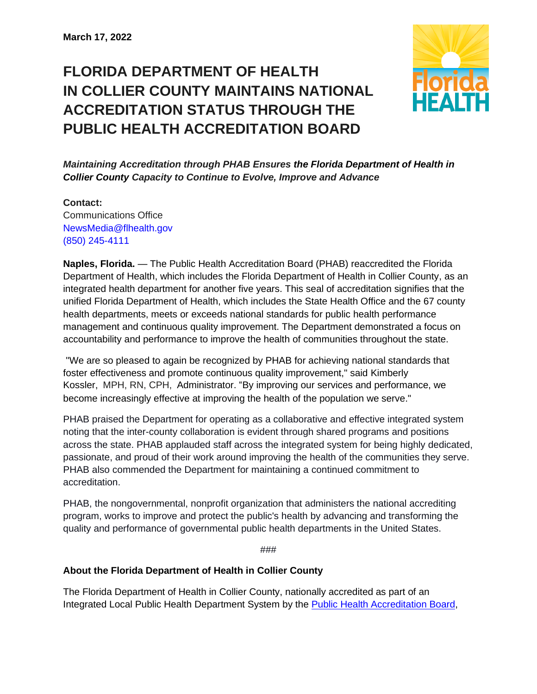## **FLORIDA DEPARTMENT OF HEALTH IN COLLIER COUNTY MAINTAINS NATIONAL ACCREDITATION STATUS THROUGH THE PUBLIC HEALTH ACCREDITATION BOARD**



*Maintaining Accreditation through PHAB Ensures the Florida Department of Health in Collier County Capacity to Continue to Evolve, Improve and Advance*

**Contact:**  Communications Office [NewsMedia@flhealth.gov](mailto:newsmedia@flhealth.gov) (850) [245-4111](tel:+1-850-245-4111)

**Naples, Florida.** — The Public Health Accreditation Board (PHAB) reaccredited the Florida Department of Health, which includes the Florida Department of Health in Collier County, as an integrated health department for another five years. This seal of accreditation signifies that the unified Florida Department of Health, which includes the State Health Office and the 67 county health departments, meets or exceeds national standards for public health performance management and continuous quality improvement. The Department demonstrated a focus on accountability and performance to improve the health of communities throughout the state.

"We are so pleased to again be recognized by PHAB for achieving national standards that foster effectiveness and promote continuous quality improvement," said Kimberly Kossler, MPH, RN, CPH, Administrator. "By improving our services and performance, we become increasingly effective at improving the health of the population we serve."

PHAB praised the Department for operating as a collaborative and effective integrated system noting that the inter-county collaboration is evident through shared programs and positions across the state. PHAB applauded staff across the integrated system for being highly dedicated, passionate, and proud of their work around improving the health of the communities they serve. PHAB also commended the Department for maintaining a continued commitment to accreditation.

PHAB, the nongovernmental, nonprofit organization that administers the national accrediting program, works to improve and protect the public's health by advancing and transforming the quality and performance of governmental public health departments in the United States.

###

## **About the Florida Department of Health in Collier County**

The Florida Department of Health in Collier County, nationally accredited as part of an Integrated Local Public Health Department System by the [Public Health Accreditation Board,](http://www.phaboard.org/)